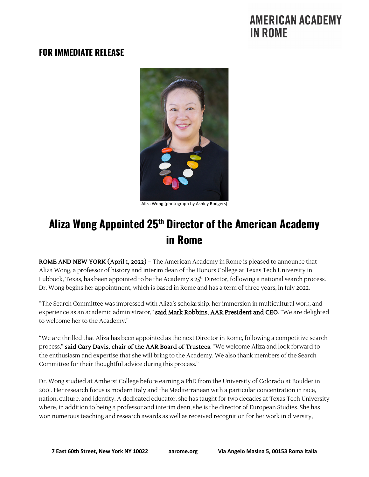### **AMERICAN ACADEMY IN ROME**

#### **FOR IMMEDIATE RELEASE**



Aliza Wong (photograph by Ashley Rodgers)

# **Aliza Wong Appointed 25th Director of the American Academy in Rome**

ROME AND NEW YORK (April 1, 2022) – The American Academy in Rome is pleased to announce that Aliza Wong, a professor of history and interim dean of the Honors College at Texas Tech University in Lubbock, Texas, has been appointed to be the Academy's 25<sup>th</sup> Director, following a national search process. Dr. Wong begins her appointment, which is based in Rome and has a term of three years, in July 2022.

"The Search Committee was impressed with Aliza's scholarship, her immersion in multicultural work, and experience as an academic administrator," said Mark Robbins, AAR President and CEO. "We are delighted to welcome her to the Academy."

"We are thrilled that Aliza has been appointed as the next Director in Rome, following a competitive search process," said Cary Davis, chair of the AAR Board of Trustees. "We welcome Aliza and look forward to the enthusiasm and expertise that she will bring to the Academy. We also thank members of the Search Committee for their thoughtful advice during this process."

Dr. Wong studied at Amherst College before earning a PhD from the University of Colorado at Boulder in 2001. Her research focus is modern Italy and the Mediterranean with a particular concentration in race, nation, culture, and identity. A dedicated educator, she has taught for two decades at Texas Tech University where, in addition to being a professor and interim dean, she is the director of European Studies. She has won numerous teaching and research awards as well as received recognition for her work in diversity,